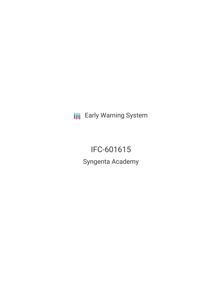**III** Early Warning System

IFC-601615 Syngenta Academy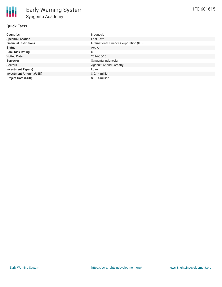## **Quick Facts**

| <b>Countries</b>               | Indonesia                               |
|--------------------------------|-----------------------------------------|
| <b>Specific Location</b>       | East Java                               |
| <b>Financial Institutions</b>  | International Finance Corporation (IFC) |
| <b>Status</b>                  | Active                                  |
| <b>Bank Risk Rating</b>        | U                                       |
| <b>Voting Date</b>             | 2016-05-15                              |
| <b>Borrower</b>                | Syngenta Indonesia                      |
| <b>Sectors</b>                 | Agriculture and Forestry                |
| <b>Investment Type(s)</b>      | Loan                                    |
| <b>Investment Amount (USD)</b> | $$0.14$ million                         |
| <b>Project Cost (USD)</b>      | $$0.14$ million                         |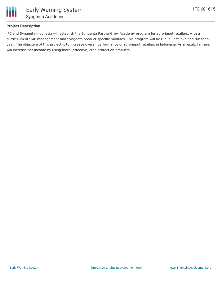

## **Project Description**

IFC and Syngenta Indonesia will establish the Syngenta PartnerGrow Academy program for agro-input retailers, with a curriculum of SME management and Syngenta product-specific modules. This program will be run in East Java and run for a year. The objective of this project is to increase overall performance of agro-input retailers in Indonesia. As a result, farmers will increase net income by using more (effective) crop protection products.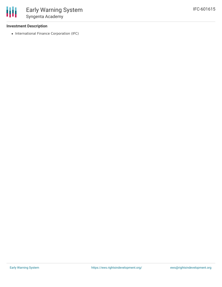## **Investment Description**

• International Finance Corporation (IFC)